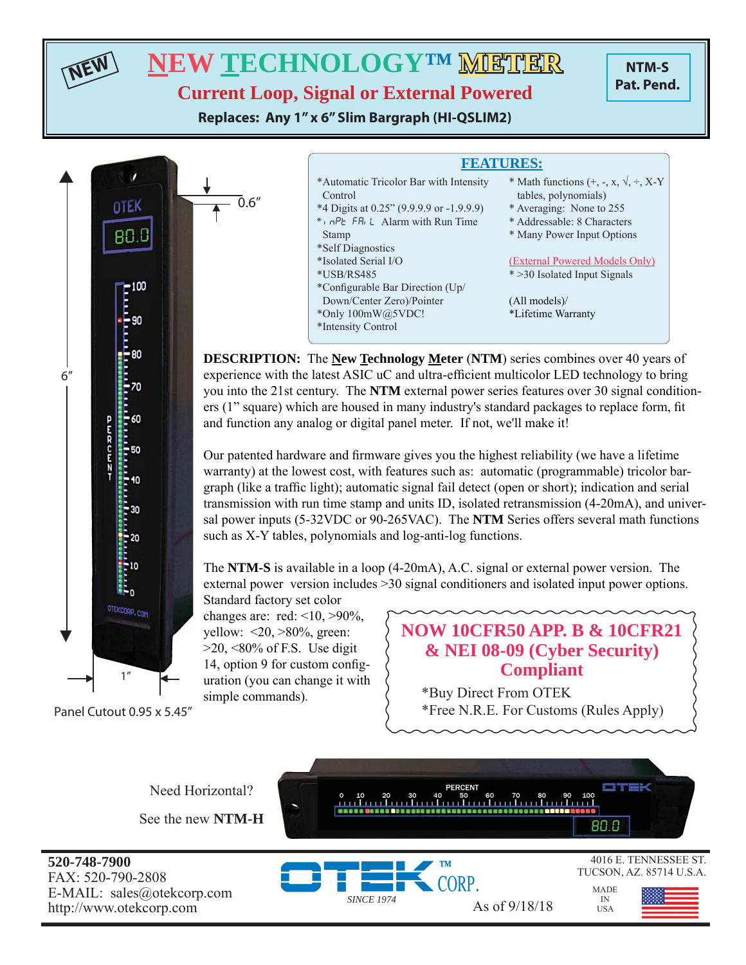**NEW**

## **NEW TECHNOLOGY™ METHER**

**NTM-S Pat. Pend.**

**Current Loop, Signal or External Powered**

**Replaces: Any 1" x 6" Slim Bargraph (HI-QSLIM2)**

 $\bar{0}.6''$ 



Panel Cutout 0.95 x 5.45"

| <b>FEATURES:</b>                                                                                                                                    |                                                                                                                                                                     |  |  |
|-----------------------------------------------------------------------------------------------------------------------------------------------------|---------------------------------------------------------------------------------------------------------------------------------------------------------------------|--|--|
| *Automatic Tricolor Bar with Intensity<br>Control<br>*4 Digits at 0.25" (9.9.9.9 or -1.9.9.9)<br>*, $nPE$ FR, L Alarm with Run Time<br><b>Stamp</b> | * Math functions $(+, -, x, \sqrt{, \div, X} - Y)$<br>tables, polynomials)<br>* Averaging: None to 255<br>* Addressable: 8 Characters<br>* Many Power Input Options |  |  |
| *Self Diagnostics                                                                                                                                   |                                                                                                                                                                     |  |  |
| *Isolated Serial I/O                                                                                                                                | (External Powered Models Only)                                                                                                                                      |  |  |
| *USB/RS485                                                                                                                                          | * > 30 Isolated Input Signals                                                                                                                                       |  |  |
| *Configurable Bar Direction (Up/                                                                                                                    |                                                                                                                                                                     |  |  |
| Down/Center Zero)/Pointer                                                                                                                           | (All models)                                                                                                                                                        |  |  |
| *Only 100mW@5VDC!                                                                                                                                   | *Lifetime Warranty                                                                                                                                                  |  |  |
| *Intensity Control                                                                                                                                  |                                                                                                                                                                     |  |  |
|                                                                                                                                                     |                                                                                                                                                                     |  |  |

**DESCRIPTION:** The **New Technology Meter** (**NTM**) series combines over 40 years of experience with the latest ASIC uC and ultra-efficient multicolor LED technology to bring you into the 21st century. The **NTM** external power series features over 30 signal conditioners (1" square) which are housed in many industry's standard packages to replace form, fit and function any analog or digital panel meter. If not, we'll make it!

Our patented hardware and firmware gives you the highest reliability (we have a lifetime warranty) at the lowest cost, with features such as: automatic (programmable) tricolor bargraph (like a traffic light); automatic signal fail detect (open or short); indication and serial transmission with run time stamp and units ID, isolated retransmission (4-20mA), and universal power inputs (5-32VDC or 90-265VAC). The **NTM** Series offers several math functions such as X-Y tables, polynomials and log-anti-log functions.

The **NTM-S** is available in a loop (4-20mA), A.C. signal or external power version. The external power version includes >30 signal conditioners and isolated input power options.

Standard factory set color changes are: red:  $\leq 10, >90\%$ , yellow:  $\langle 20, \rangle 80\%$ , green:  $>20$ ,  $<80\%$  of F.S. Use digit 14, option 9 for custom configuration (you can change it with simple commands).

### **NOW 10CFR50 APP. B & 10CFR21 & NEI 08-09 (Cyber Security) Compliant**

\*Buy Direct From OTEK \*Free N.R.E. For Customs (Rules Apply)

> MADE IN USA

Need Horizontal? See the new **NTM-H**

**520-748-7900** FAX: 520-790-2808 E-MAIL: sales@otekcorp.com http://www.otekcorp.com As of 9/18/18



*SINCE 1974*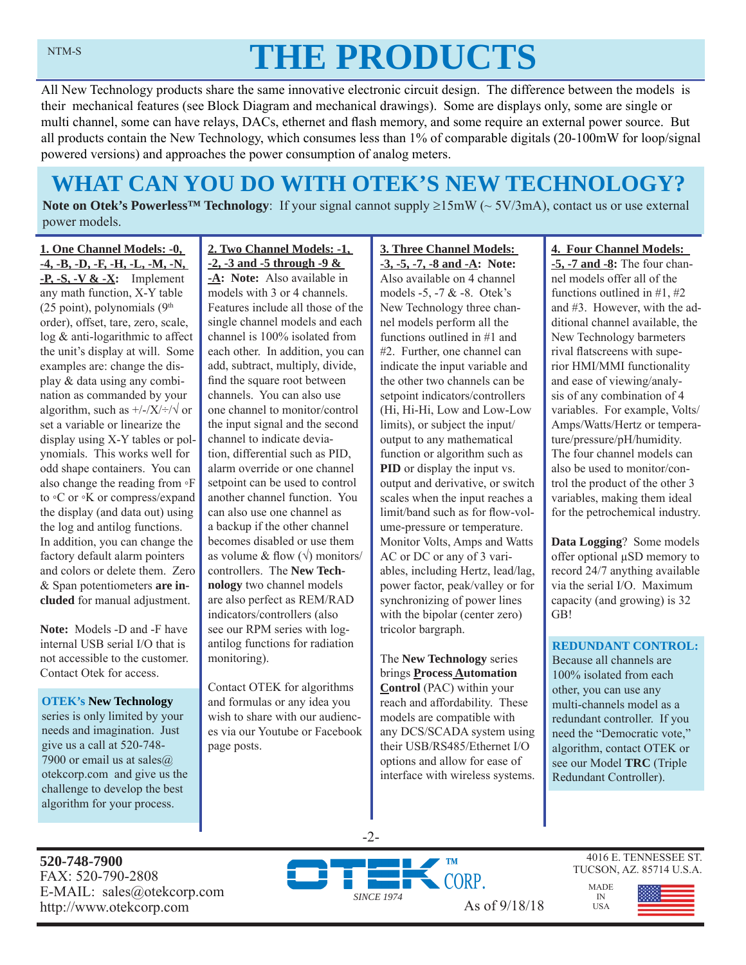# **THE PRODUCTS**

All New Technology products share the same innovative electronic circuit design. The difference between the models is their mechanical features (see Block Diagram and mechanical drawings). Some are displays only, some are single or multi channel, some can have relays, DACs, ethernet and flash memory, and some require an external power source. But all products contain the New Technology, which consumes less than 1% of comparable digitals (20-100mW for loop/signal powered versions) and approaches the power consumption of analog meters.

## **WHAT CAN YOU DO WITH OTEK'S NEW TECHNOLOGY?**

**Note on Otek's Powerless<sup>TM</sup> Technology**: If your signal cannot supply  $\geq 15 \text{mW}$  ( $\sim 5V/3 \text{mA}$ ), contact us or use external power models.

**1. One Channel Models: -0, -4, -B, -D, -F, -H, -L, -M, -N, -P, -S, -V & -X:** Implement any math function, X-Y table (25 point), polynomials  $(9<sup>th</sup>$ order), offset, tare, zero, scale, log & anti-logarithmic to affect the unit's display at will. Some examples are: change the display & data using any combination as commanded by your algorithm, such as  $\frac{+}{X}\div\sqrt{y}$  or set a variable or linearize the display using X-Y tables or polynomials. This works well for odd shape containers. You can also change the reading from ◦F to ◦C or ◦K or compress/expand the display (and data out) using the log and antilog functions. In addition, you can change the factory default alarm pointers and colors or delete them. Zero & Span potentiometers **are included** for manual adjustment.

**Note:** Models -D and -F have internal USB serial I/O that is not accessible to the customer. Contact Otek for access.

**OTEK's New Technology**  series is only limited by your needs and imagination. Just give us a call at 520-748- 7900 or email us at sales@ otekcorp.com and give us the challenge to develop the best algorithm for your process.

**2. Two Channel Models: -1, -2, -3 and -5 through -9 &** 

**-A: Note:** Also available in models with 3 or 4 channels. Features include all those of the single channel models and each channel is 100% isolated from each other. In addition, you can add, subtract, multiply, divide, find the square root between channels. You can also use one channel to monitor/control the input signal and the second channel to indicate deviation, differential such as PID, alarm override or one channel setpoint can be used to control another channel function. You can also use one channel as a backup if the other channel becomes disabled or use them as volume & flow  $(\sqrt{})$  monitors/ controllers. The **New Technology** two channel models are also perfect as REM/RAD indicators/controllers (also see our RPM series with logantilog functions for radiation monitoring).

Contact OTEK for algorithms and formulas or any idea you wish to share with our audiences via our Youtube or Facebook page posts.

**3. Three Channel Models: -3, -5, -7, -8 and -A: Note:**  Also available on 4 channel models -5, -7 & -8. Otek's New Technology three channel models perform all the functions outlined in #1 and #2. Further, one channel can indicate the input variable and the other two channels can be setpoint indicators/controllers (Hi, Hi-Hi, Low and Low-Low limits), or subject the input/ output to any mathematical function or algorithm such as **PID** or display the input vs. output and derivative, or switch scales when the input reaches a limit/band such as for flow-volume-pressure or temperature. Monitor Volts, Amps and Watts AC or DC or any of 3 variables, including Hertz, lead/lag, power factor, peak/valley or for synchronizing of power lines with the bipolar (center zero) tricolor bargraph.

The **New Technology** series brings **Process Automation Control** (PAC) within your reach and affordability. These models are compatible with any DCS/SCADA system using their USB/RS485/Ethernet I/O options and allow for ease of interface with wireless systems.

#### **4. Four Channel Models:**

**-5, -7 and -8:** The four channel models offer all of the functions outlined in #1, #2 and #3. However, with the additional channel available, the New Technology barmeters rival flatscreens with superior HMI/MMI functionality and ease of viewing/analysis of any combination of 4 variables. For example, Volts/ Amps/Watts/Hertz or temperature/pressure/pH/humidity. The four channel models can also be used to monitor/control the product of the other 3 variables, making them ideal for the petrochemical industry.

**Data Logging**? Some models offer optional μSD memory to record 24/7 anything available via the serial I/O. Maximum capacity (and growing) is 32 GB!

#### **REDUNDANT CONTROL:**

Because all channels are 100% isolated from each other, you can use any multi-channels model as a redundant controller. If you need the "Democratic vote," algorithm, contact OTEK or see our Model **TRC** (Triple Redundant Controller).

**520-748-7900** FAX: 520-790-2808 E-MAIL: sales@otekcorp.com



-2-

4016 E. TENNESSEE ST. TUCSON, AZ. 85714 U.S.A.

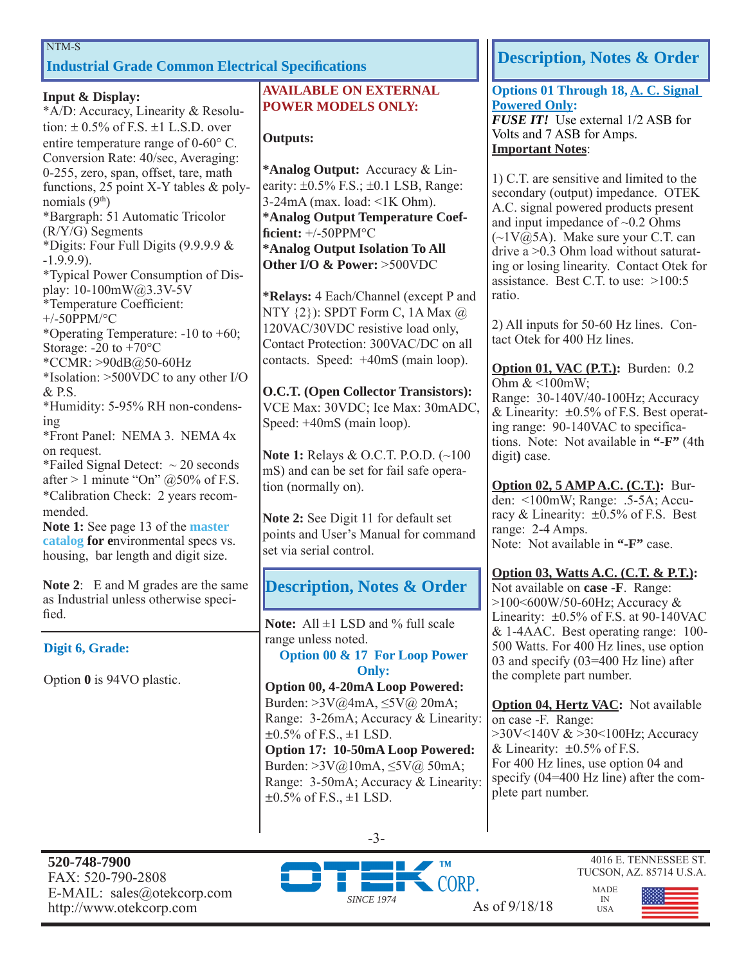#### NTM-S

## **Industrial Grade Common Electrical Specifications Industrial Specifications Industrial Grade Common Electrical Specifications**

#### **Input & Display:**

\*A/D: Accuracy, Linearity & Resolution:  $\pm$  0.5% of F.S.  $\pm$ 1 L.S.D. over entire temperature range of  $0\n-60^{\circ}$  C. Conversion Rate: 40/sec, Averaging: 0-255, zero, span, offset, tare, math functions, 25 point X-Y tables & polynomials  $(9<sup>th</sup>)$ \*Bargraph: 51 Automatic Tricolor (R/Y/G) Segments \*Digits: Four Full Digits (9.9.9.9 & -1.9.9.9). \*Typical Power Consumption of Display: 10-100mW@3.3V-5V \*Temperature Coefficient:  $+/-50$ PPM/°C \*Operating Temperature: -10 to +60; Storage: -20 to +70°C \*CCMR: >90dB@50-60Hz \*Isolation: >500VDC to any other I/O & P.S. \*Humidity: 5-95% RH non-condensing \*Front Panel: NEMA 3. NEMA 4x on request. \*Failed Signal Detect:  $\sim$  20 seconds after  $> 1$  minute "On" @50% of F.S. \*Calibration Check: 2 years recommended.

**Note 1:** See page 13 of the **master catalog for e**nvironmental specs vs. housing, bar length and digit size.

**Note 2**: E and M grades are the same as Industrial unless otherwise specified.

#### **Digit 6, Grade:**

Option **0** is 94VO plastic.

#### **AVAILABLE ON EXTERNAL POWER MODELS ONLY:**

#### **Outputs:**

**\*Analog Output:** Accuracy & Linearity:  $\pm 0.5\%$  F.S.;  $\pm 0.1$  LSB, Range: 3-24mA (max. load: <1K Ohm). **\*Analog Output Temperature Coeffi cient:** +/-50PPM°C **\*Analog Output Isolation To All Other I/O & Power:** >500VDC

**\*Relays:** 4 Each/Channel (except P and NTY {2}): SPDT Form C, 1A Max @ 120VAC/30VDC resistive load only, Contact Protection: 300VAC/DC on all contacts. Speed: +40mS (main loop).

**O.C.T. (Open Collector Transistors):** VCE Max: 30VDC; Ice Max: 30mADC, Speed: +40mS (main loop).

**Note 1:** Relays & O.C.T. P.O.D. (~100 mS) and can be set for fail safe operation (normally on).

**Note 2:** See Digit 11 for default set points and User's Manual for command set via serial control.

### **Description, Notes & Order**

**Note:** All ±1 LSD and % full scale range unless noted.

**Option 00 & 17 For Loop Power Only:**

**Option 00, 4-20mA Loop Powered:**  Burden: >3V@4mA, ≤5V@ 20mA; Range: 3-26mA; Accuracy & Linearity:  $\pm 0.5\%$  of F.S.,  $\pm 1$  LSD.

**Option 17: 10-50mA Loop Powered:**  Burden: >3V@10mA, ≤5V@ 50mA; Range: 3-50mA; Accuracy & Linearity:  $\pm 0.5\%$  of F.S.,  $\pm 1$  LSD.

**Options 01 Through 18, A. C. Signal Powered Only:** *FUSE IT!* Use external 1/2 ASB for Volts and 7 ASB for Amps. **Important Notes**:

1) C.T. are sensitive and limited to the secondary (output) impedance. OTEK A.C. signal powered products present and input impedance of  $\sim 0.2$  Ohms  $(\sim 1 \text{V}(\bar{\omega})$ 5A). Make sure your C.T. can drive a >0.3 Ohm load without saturating or losing linearity. Contact Otek for assistance. Best C.T. to use: >100:5 ratio.

2) All inputs for 50-60 Hz lines. Contact Otek for 400 Hz lines.

**Option 01, VAC (P.T.):** Burden: 0.2 Ohm  $<100$ mW; Range: 30-140V/40-100Hz; Accuracy & Linearity:  $\pm 0.5\%$  of F.S. Best operating range: 90-140VAC to specifications. Note: Not available in **"-F"** (4th digit**)** case.

**Option 02, 5 AMP A.C. (C.T.):** Burden: <100mW; Range: .5-5A; Accuracy & Linearity: ±0.5% of F.S. Best range: 2-4 Amps. Note: Not available in **"-F"** case.

**Option 03, Watts A.C. (C.T. & P.T.):** Not available on **case -F**. Range: >100<600W/50-60Hz; Accuracy & Linearity:  $\pm 0.5\%$  of F.S. at 90-140VAC & 1-4AAC. Best operating range: 100- 500 Watts. For 400 Hz lines, use option 03 and specify (03=400 Hz line) after the complete part number.

**Option 04, Hertz VAC:** Not available on case -F. Range: >30V<140V & >30<100Hz; Accuracy & Linearity:  $\pm 0.5\%$  of F.S. For 400 Hz lines, use option 04 and specify (04=400 Hz line) after the complete part number.

> MADE IN USA

**520-748-7900** FAX: 520-790-2808 E-MAIL: sales@otekcorp.com



-3-

4016 E. TENNESSEE ST. TUCSON, AZ. 85714 U.S.A.

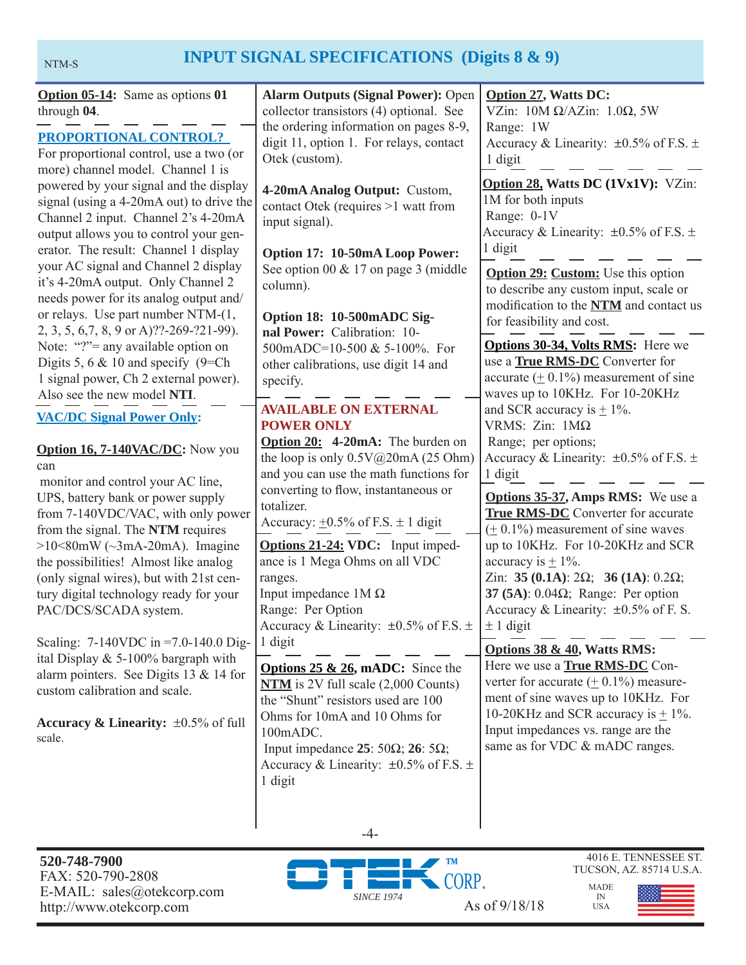## NTM-S **INPUT SIGNAL SPECIFICATIONS** (Digits 8 & 9)

| <b>Option 05-14:</b> Same as options 01<br>through 04.<br><b>PROPORTIONAL CONTROL?</b><br>For proportional control, use a two (or<br>more) channel model. Channel 1 is                                                                                                                                                                                                                                                                                                                                                           | <b>Alarm Outputs (Signal Power): Open</b><br>collector transistors (4) optional. See<br>the ordering information on pages 8-9,<br>digit 11, option 1. For relays, contact<br>Otek (custom).                                                                                                                                                                                                                                                                                                              | <b>Option 27, Watts DC:</b><br>VZin: $10M \Omega/AZ$ in: $1.0\Omega$ , 5W<br>Range: 1W<br>Accuracy & Linearity: $\pm 0.5\%$ of F.S. $\pm$<br>1 digit                                       |
|----------------------------------------------------------------------------------------------------------------------------------------------------------------------------------------------------------------------------------------------------------------------------------------------------------------------------------------------------------------------------------------------------------------------------------------------------------------------------------------------------------------------------------|----------------------------------------------------------------------------------------------------------------------------------------------------------------------------------------------------------------------------------------------------------------------------------------------------------------------------------------------------------------------------------------------------------------------------------------------------------------------------------------------------------|--------------------------------------------------------------------------------------------------------------------------------------------------------------------------------------------|
| powered by your signal and the display<br>signal (using a 4-20mA out) to drive the<br>Channel 2 input. Channel 2's 4-20mA<br>output allows you to control your gen-<br>erator. The result: Channel 1 display                                                                                                                                                                                                                                                                                                                     | 4-20mA Analog Output: Custom,<br>contact Otek (requires >1 watt from<br>input signal).<br>Option 17: 10-50mA Loop Power:                                                                                                                                                                                                                                                                                                                                                                                 | Option 28, Watts DC (1Vx1V): VZin:<br>1M for both inputs<br>Range: 0-1V<br>Accuracy & Linearity: $\pm 0.5\%$ of F.S. $\pm$<br>1 digit                                                      |
| your AC signal and Channel 2 display<br>it's 4-20mA output. Only Channel 2<br>needs power for its analog output and/<br>or relays. Use part number NTM-(1,<br>2, 3, 5, 6, 7, 8, 9 or A)??-269-?21-99).                                                                                                                                                                                                                                                                                                                           | See option 00 $& 17$ on page 3 (middle<br>column).<br>Option 18: 10-500mADC Sig-<br>nal Power: Calibration: 10-<br>500mADC=10-500 & 5-100%. For<br>other calibrations, use digit 14 and<br>specify.<br><b>AVAILABLE ON EXTERNAL</b>                                                                                                                                                                                                                                                                      | <b>Option 29: Custom:</b> Use this option<br>to describe any custom input, scale or<br>modification to the NTM and contact us<br>for feasibility and cost.                                 |
| Note: "?"= any available option on<br>Digits 5, 6 $\&$ 10 and specify (9=Ch)<br>1 signal power, Ch 2 external power).<br>Also see the new model NTI.                                                                                                                                                                                                                                                                                                                                                                             |                                                                                                                                                                                                                                                                                                                                                                                                                                                                                                          | <b>Options 30-34, Volts RMS:</b> Here we<br>use a True RMS-DC Converter for<br>accurate $(± 0.1%)$ measurement of sine<br>waves up to 10KHz. For 10-20KHz<br>and SCR accuracy is $\pm$ 1%. |
| <b>VAC/DC Signal Power Only:</b><br><b>POWER ONLY</b><br>Option 20: 4-20mA: The burden on<br><b>Option 16, 7-140VAC/DC:</b> Now you<br>the loop is only 0.5V@20mA (25 Ohm)<br>can<br>and you can use the math functions for<br>monitor and control your AC line,<br>converting to flow, instantaneous or<br>UPS, battery bank or power supply<br>totalizer.<br>from 7-140VDC/VAC, with only power<br>Accuracy: $\pm 0.5\%$ of F.S. $\pm 1$ digit<br>from the signal. The NTM requires<br>$>10<80$ mW ( $\sim$ 3mA-20mA). Imagine | VRMS: $Zin$ : $1M\Omega$<br>Range; per options;<br>Accuracy & Linearity: $\pm 0.5\%$ of F.S. $\pm$<br>1 digit                                                                                                                                                                                                                                                                                                                                                                                            |                                                                                                                                                                                            |
|                                                                                                                                                                                                                                                                                                                                                                                                                                                                                                                                  |                                                                                                                                                                                                                                                                                                                                                                                                                                                                                                          | <b>Options 35-37, Amps RMS:</b> We use a<br><b>True RMS-DC</b> Converter for accurate<br>$(± 0.1%)$ measurement of sine waves<br>up to 10KHz. For 10-20KHz and SCR                         |
| the possibilities! Almost like analog<br>(only signal wires), but with 21st cen-<br>tury digital technology ready for your<br>PAC/DCS/SCADA system.                                                                                                                                                                                                                                                                                                                                                                              | <b>Options 21-24: VDC:</b> Input imped-<br>ance is 1 Mega Ohms on all VDC<br>ranges.<br>Input impedance $1M\Omega$<br>Range: Per Option<br>Accuracy & Linearity: $\pm 0.5\%$ of F.S. $\pm$  <br>1 digit<br><b>Options 25 &amp; 26, mADC:</b> Since the<br>$NTM$ is 2V full scale $(2,000$ Counts)<br>the "Shunt" resistors used are 100<br>Ohms for 10mA and 10 Ohms for<br>100mADC.<br>Input impedance 25: 50 $\Omega$ ; 26: 5 $\Omega$ ;<br>Accuracy & Linearity: $\pm 0.5\%$ of F.S. $\pm$<br>1 digit | accuracy is $\pm$ 1%.<br>Zin: 35 (0.1A): $2\Omega$ ; 36 (1A): 0.2 $\Omega$ ;<br>37 (5A): $0.04\Omega$ ; Range: Per option<br>Accuracy & Linearity: $\pm 0.5\%$ of F. S.<br>$\pm$ 1 digit   |
| Scaling: $7-140$ VDC in =7.0-140.0 Dig-<br>ital Display & 5-100% bargraph with<br>alarm pointers. See Digits 13 & 14 for<br>custom calibration and scale.                                                                                                                                                                                                                                                                                                                                                                        |                                                                                                                                                                                                                                                                                                                                                                                                                                                                                                          | Options 38 & 40, Watts RMS:<br>Here we use a <b>True RMS-DC</b> Con-<br>verter for accurate $(± 0.1%)$ measure-<br>ment of sine waves up to 10KHz. For                                     |
| Accuracy & Linearity: $\pm 0.5\%$ of full<br>scale.                                                                                                                                                                                                                                                                                                                                                                                                                                                                              |                                                                                                                                                                                                                                                                                                                                                                                                                                                                                                          | 10-20KHz and SCR accuracy is $\pm$ 1%.<br>Input impedances vs. range are the<br>same as for VDC & mADC ranges.                                                                             |



-4-

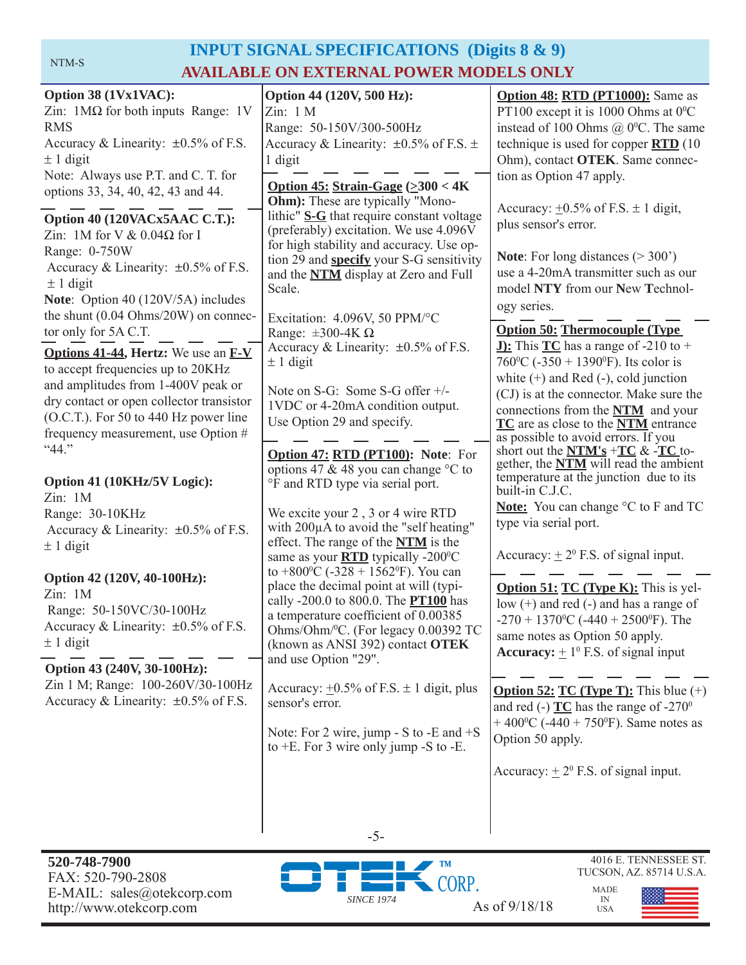#### NTM-S

## **INPUT SIGNAL SPECIFICATIONS (Digits 8 & 9) AVAILABLE ON EXTERNAL POWER MODELS ONLY**

| Option 44 (120V, 500 Hz):<br>Zin: 1 M<br>Range: 50-150V/300-500Hz<br>Accuracy & Linearity: $\pm 0.5\%$ of F.S. $\pm$<br>1 digit<br>Option 45: Strain-Gage $(\geq 300 < 4K)$<br><b>Ohm</b> ): These are typically "Mono-<br>lithic" S-G that require constant voltage<br>(preferably) excitation. We use 4.096V<br>for high stability and accuracy. Use op-<br>tion 29 and <b>specify</b> your S-G sensitivity<br>and the <b>NTM</b> display at Zero and Full<br>Scale.<br>Excitation: 4.096V, 50 PPM/°C<br>Range: $\pm 300 - 4K \Omega$<br>Accuracy & Linearity: $\pm 0.5\%$ of F.S.<br>$\pm$ 1 digit<br>Note on S-G: Some S-G offer +/-<br>1VDC or 4-20mA condition output.<br>Use Option 29 and specify.<br><b>Option 47: RTD (PT100): Note: For</b><br>options 47 & 48 you can change °C to<br>°F and RTD type via serial port.<br>We excite your 2, 3 or 4 wire RTD<br>with 200µA to avoid the "self heating"<br>effect. The range of the <b>NTM</b> is the<br>same as your <b>RTD</b> typically -200°C<br>to +800 $\degree$ C (-328 + 1562 $\degree$ F). You can<br>place the decimal point at will (typi-<br>cally -200.0 to 800.0. The <b>PT100</b> has<br>a temperature coefficient of 0.00385<br>Ohms/Ohm/ <sup>0</sup> C. (For legacy 0.00392 TC<br>(known as ANSI 392) contact OTEK<br>and use Option "29".<br>Accuracy: $\pm 0.5\%$ of F.S. $\pm$ 1 digit, plus<br>sensor's error. | <b>Option 48: RTD (PT1000):</b> Same as<br>PT100 except it is 1000 Ohms at $0^{\circ}$ C<br>instead of 100 Ohms $@$ 0 <sup>o</sup> C. The same<br>technique is used for copper $\overline{RTD}$ (10<br>Ohm), contact OTEK. Same connec-<br>tion as Option 47 apply.<br>Accuracy: $\pm 0.5\%$ of F.S. $\pm$ 1 digit,<br>plus sensor's error.<br><b>Note:</b> For long distances $(>300')$<br>use a 4-20mA transmitter such as our<br>model NTY from our New Technol-<br>ogy series.<br><b>Option 50: Thermocouple (Type)</b><br><b>J:</b> This $TC$ has a range of -210 to +<br>760 °C (-350 + 1390 °F). Its color is<br>white $(+)$ and Red $(-)$ , cold junction<br>(CJ) is at the connector. Make sure the<br>connections from the NTM and your<br>TC are as close to the NTM entrance<br>as possible to avoid errors. If you<br>short out the $NTM's + TC & FC$ to-<br>gether, the <b>NTM</b> will read the ambient<br>temperature at the junction due to its<br>built-in C.J.C.<br><b>Note:</b> You can change °C to F and TC<br>type via serial port.<br>Accuracy: $\pm 2^0$ F.S. of signal input.<br><b>Option 51: TC (Type K):</b> This is yel-<br>low $(+)$ and red $(-)$ and has a range of<br>-270 + 1370 <sup>o</sup> C (-440 + 2500 <sup>o</sup> F). The<br>same notes as Option 50 apply.<br><b>Accuracy:</b> $\pm 1^0$ F.S. of signal input<br>and red (-) $TC$ has the range of -270 <sup>0</sup> |
|------------------------------------------------------------------------------------------------------------------------------------------------------------------------------------------------------------------------------------------------------------------------------------------------------------------------------------------------------------------------------------------------------------------------------------------------------------------------------------------------------------------------------------------------------------------------------------------------------------------------------------------------------------------------------------------------------------------------------------------------------------------------------------------------------------------------------------------------------------------------------------------------------------------------------------------------------------------------------------------------------------------------------------------------------------------------------------------------------------------------------------------------------------------------------------------------------------------------------------------------------------------------------------------------------------------------------------------------------------------------------------------------|------------------------------------------------------------------------------------------------------------------------------------------------------------------------------------------------------------------------------------------------------------------------------------------------------------------------------------------------------------------------------------------------------------------------------------------------------------------------------------------------------------------------------------------------------------------------------------------------------------------------------------------------------------------------------------------------------------------------------------------------------------------------------------------------------------------------------------------------------------------------------------------------------------------------------------------------------------------------------------------------------------------------------------------------------------------------------------------------------------------------------------------------------------------------------------------------------------------------------------------------------------------------------------------------------------------------------------------------------------------------------------------------------------------|
|                                                                                                                                                                                                                                                                                                                                                                                                                                                                                                                                                                                                                                                                                                                                                                                                                                                                                                                                                                                                                                                                                                                                                                                                                                                                                                                                                                                                |                                                                                                                                                                                                                                                                                                                                                                                                                                                                                                                                                                                                                                                                                                                                                                                                                                                                                                                                                                                                                                                                                                                                                                                                                                                                                                                                                                                                                  |
| Note: For 2 wire, jump - S to -E and $+S$<br>to $+E$ . For 3 wire only jump -S to -E.                                                                                                                                                                                                                                                                                                                                                                                                                                                                                                                                                                                                                                                                                                                                                                                                                                                                                                                                                                                                                                                                                                                                                                                                                                                                                                          | <b>Option 52: TC (Type T):</b> This blue $(+)$<br>+ 400 <sup>o</sup> C (-440 + 750 <sup>o</sup> F). Same notes as<br>Option 50 apply.<br>Accuracy: $\pm 2^{\circ}$ F.S. of signal input.                                                                                                                                                                                                                                                                                                                                                                                                                                                                                                                                                                                                                                                                                                                                                                                                                                                                                                                                                                                                                                                                                                                                                                                                                         |
|                                                                                                                                                                                                                                                                                                                                                                                                                                                                                                                                                                                                                                                                                                                                                                                                                                                                                                                                                                                                                                                                                                                                                                                                                                                                                                                                                                                                |                                                                                                                                                                                                                                                                                                                                                                                                                                                                                                                                                                                                                                                                                                                                                                                                                                                                                                                                                                                                                                                                                                                                                                                                                                                                                                                                                                                                                  |

**520-748-7900** FAX: 520-790-2808 E-MAIL: sales@otekcorp.com http://www.otekcorp.com As of 9/18/18



-5-

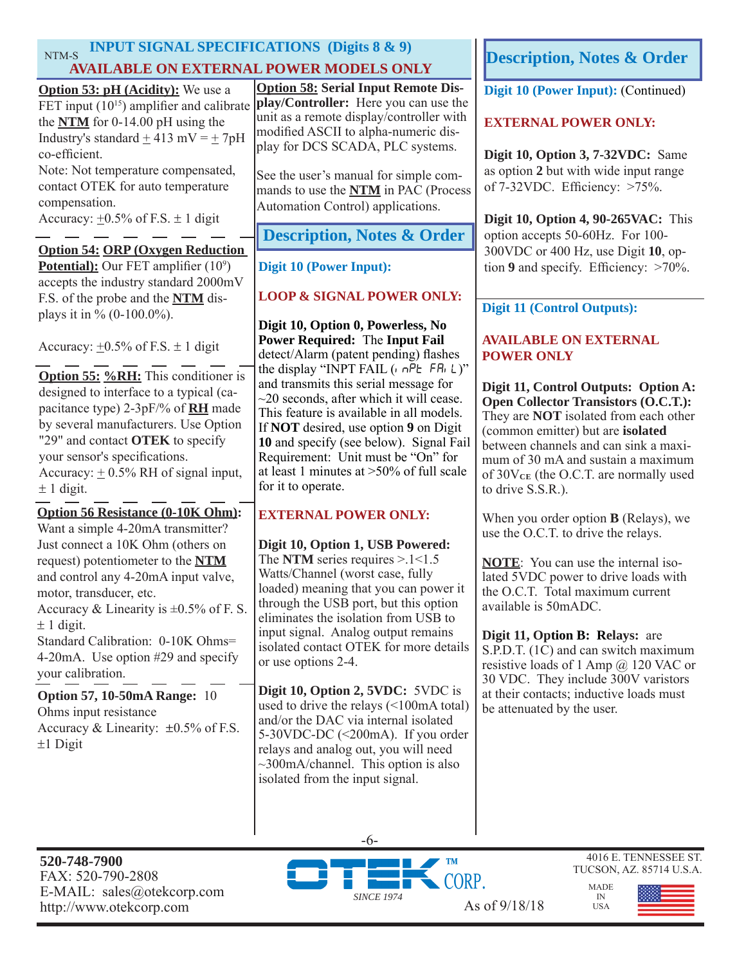### NTM-S **INPUT SIGNAL SPECIFICATIONS (Digits 8 & 9) AVAILABLE ON EXTERNAL POWER MODELS ONLY**

**Option 55: %RH:** This conditioner is designed to interface to a typical (capacitance type) 2-3pF/% of **RH** made by several manufacturers. Use Option "29" and contact **OTEK** to specify your sensor's specifications. Accuracy:  $+0.5\%$  RH of signal input,  $\pm$  1 digit. **Option 54: ORP (Oxygen Reduction Potential):** Our FET amplifier (10<sup>9</sup>) accepts the industry standard 2000mV F.S. of the probe and the **NTM** displays it in  $\%$  (0-100.0%). Accuracy:  $+0.5\%$  of F.S.  $\pm$  1 digit **Option 53: pH (Acidity):** We use a FET input  $(10^{15})$  amplifier and calibrate the **NTM** for 0-14.00 pH using the Industry's standard + 413 mV = + 7pH co-efficient. Note: Not temperature compensated, contact OTEK for auto temperature compensation. Accuracy:  $\pm 0.5\%$  of F.S.  $\pm 1$  digit **Option 56 Resistance (0-10K Ohm):**  Want a simple 4-20mA transmitter? Just connect a 10K Ohm (others on request) potentiometer to the **NTM** and control any 4-20mA input valve, motor, transducer, etc. Accuracy & Linearity is  $\pm 0.5\%$  of F. S.  $\pm$  1 digit. Standard Calibration: 0-10K Ohms= 4-20mA. Use option #29 and specify your calibration. **Option 58: Serial Input Remote Display/Controller:** Here you can use the unit as a remote display/controller with modified ASCII to alpha-numeric display for DCS SCADA, PLC systems. See the user's manual for simple commands to use the **NTM** in PAC (Process Automation Control) applications. **Digit 10 (Power Input): (Continued) EXTERNAL POWER ONLY: Digit 10, Option 3, 7-32VDC:** Same as option **2** but with wide input range of 7-32VDC. Efficiency: >75%. **Digit 10, Option 4, 90-265VAC:** This option accepts 50-60Hz. For 100- 300VDC or 400 Hz, use Digit **10**, op-**Digit 10 (Power Input):**  $\left| \right|$  tion **9** and specify. Efficiency:  $>70\%$ . **LOOP & SIGNAL POWER ONLY: Digit 10, Option 0, Powerless, No Power Required:** The **Input Fail**  detect/Alarm (patent pending) flashes the display "INPT FAIL  $($ ,  $n\overrightarrow{P}E$  FA<sub>i</sub> L)" and transmits this serial message for  $\sim$ 20 seconds, after which it will cease. This feature is available in all models. If **NOT** desired, use option **9** on Digit **10** and specify (see below). Signal Fail Requirement: Unit must be "On" for at least 1 minutes at >50% of full scale for it to operate. **EXTERNAL POWER ONLY: Digit 10, Option 1, USB Powered:**  The **NTM** series requires  $> 1 < 1.5$ Watts/Channel (worst case, fully loaded) meaning that you can power it through the USB port, but this option eliminates the isolation from USB to input signal. Analog output remains isolated contact OTEK for more details or use options 2-4. **Digit 10, Option 2, 5VDC:** 5VDC is used to drive the relays (<100mA total) and/or the DAC via internal isolated 5-30VDC-DC (<200mA). If you order relays and analog out, you will need ~300mA/channel. This option is also isolated from the input signal. **Digit 11 (Control Outputs): AVAILABLE ON EXTERNAL POWER ONLY Digit 11, Control Outputs: Option A: Open Collector Transistors (O.C.T.):**  They are **NOT** isolated from each other (common emitter) but are **isolated**  between channels and can sink a maximum of 30 mA and sustain a maximum of 30V**CE** (the O.C.T. are normally used to drive S.S.R.). When you order option **B** (Relays), we use the O.C.T. to drive the relays. **NOTE**: You can use the internal isolated 5VDC power to drive loads with the O.C.T. Total maximum current available is 50mADC. **Digit 11, Option B: Relays:** are S.P.D.T. (1C) and can switch maximum resistive loads of 1 Amp @ 120 VAC or 30 VDC. They include 300V varistors at their contacts; inductive loads must be attenuated by the user. **Option 57, 10-50mA Range:** 10 Ohms input resistance Accuracy & Linearity:  $\pm 0.5\%$  of F.S.  $±1$  Digit **Description, Notes & Order**



-6-



MADE IN USA

**Description, Notes & Order**

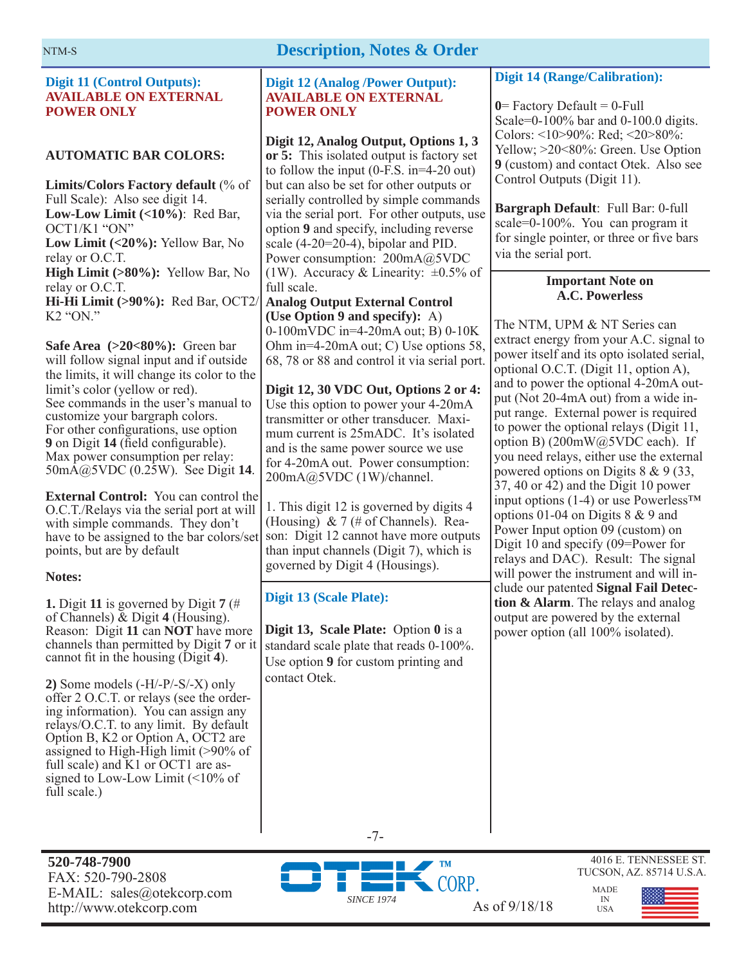#### **Description, Notes & Order**

#### **Digit 11 (Control Outputs): AVAILABLE ON EXTERNAL POWER ONLY**

#### **AUTOMATIC BAR COLORS:**

**Limits/Colors Factory default** (% of Full Scale): Also see digit 14. **Low-Low Limit (<10%)**: Red Bar, OCT1/K1 "ON" **Low Limit (<20%):** Yellow Bar, No relay or O.C.T. **High Limit (>80%):** Yellow Bar, No relay or O.C.T. **Hi-Hi Limit (>90%):** Red Bar, OCT2/ K2 "ON."

**Safe Area (>20<80%):** Green bar will follow signal input and if outside the limits, it will change its color to the limit's color (yellow or red). See commands in the user's manual to customize your bargraph colors. For other configurations, use option **9** on Digit **14** (field configurable). Max power consumption per relay: 50mA@5VDC (0.25W). See Digit **14**.

**External Control:** You can control the O.C.T./Relays via the serial port at will with simple commands. They don't have to be assigned to the bar colors/set points, but are by default

#### **Notes:**

**1.** Digit **11** is governed by Digit **7** (# of Channels) & Digit **4** (Housing). Reason: Digit **11** can **NOT** have more channels than permitted by Digit **7** or it cannot fit in the housing (Digit 4).

**2)** Some models (-H/-P/-S/-X) only offer 2 O.C.T. or relays (see the ordering information). You can assign any relays/O.C.T. to any limit. By default Option B, K2 or Option A, OCT2 are assigned to High-High limit (>90% of full scale) and K1 or OCT1 are assigned to Low-Low Limit (<10% of full scale.)

#### **Digit 12 (Analog /Power Output): AVAILABLE ON EXTERNAL POWER ONLY**

**Digit 12, Analog Output, Options 1, 3 or 5:** This isolated output is factory set to follow the input (0-F.S. in=4-20 out) but can also be set for other outputs or serially controlled by simple commands via the serial port. For other outputs, use option **9** and specify, including reverse scale (4-20=20-4), bipolar and PID. Power consumption: 200mA@5VDC (1W). Accuracy & Linearity:  $\pm 0.5\%$  of full scale.

**Analog Output External Control (Use Option 9 and specify):** A) 0-100mVDC in=4-20mA out; B) 0-10K Ohm in=4-20mA out; C) Use options 58, 68, 78 or 88 and control it via serial port.

**Digit 12, 30 VDC Out, Options 2 or 4:**  Use this option to power your 4-20mA transmitter or other transducer. Maximum current is 25mADC. It's isolated and is the same power source we use for 4-20mA out. Power consumption: 200mA@5VDC (1W)/channel.

1. This digit 12 is governed by digits 4 (Housing)  $& 7 \times 7$  (# of Channels). Reason: Digit 12 cannot have more outputs than input channels (Digit 7), which is governed by Digit 4 (Housings).

#### **Digit 13 (Scale Plate):**

**Digit 13, Scale Plate:** Option **0** is a standard scale plate that reads 0-100%. Use option **9** for custom printing and contact Otek.

#### **Digit 14 (Range/Calibration):**

 $0$ = Factory Default =  $0$ -Full Scale=0-100% bar and 0-100.0 digits. Colors: <10>90%: Red; <20>80%: Yellow; >20<80%: Green. Use Option **9** (custom) and contact Otek. Also see Control Outputs (Digit 11).

**Bargraph Default**: Full Bar: 0-full scale=0-100%. You can program it for single pointer, or three or five bars via the serial port.

#### **Important Note on A.C. Powerless**

The NTM, UPM & NT Series can extract energy from your A.C. signal to power itself and its opto isolated serial, optional O.C.T. (Digit 11, option A), and to power the optional 4-20mA output (Not 20-4mA out) from a wide input range. External power is required to power the optional relays (Digit 11, option B) (200mW@5VDC each). If you need relays, either use the external powered options on Digits 8 & 9 (33, 37, 40 or 42) and the Digit 10 power input options (1-4) or use Powerless™ options 01-04 on Digits 8 & 9 and Power Input option 09 (custom) on Digit 10 and specify (09=Power for relays and DAC). Result: The signal will power the instrument and will include our patented **Signal Fail Detection & Alarm**. The relays and analog output are powered by the external power option (all 100% isolated).

-7-

**520-748-7900** FAX: 520-790-2808 E-MAIL: sales@otekcorp.com http://www.otekcorp.com As of 9/18/18



4016 E. TENNESSEE ST. TUCSON, AZ. 85714 U.S.A.

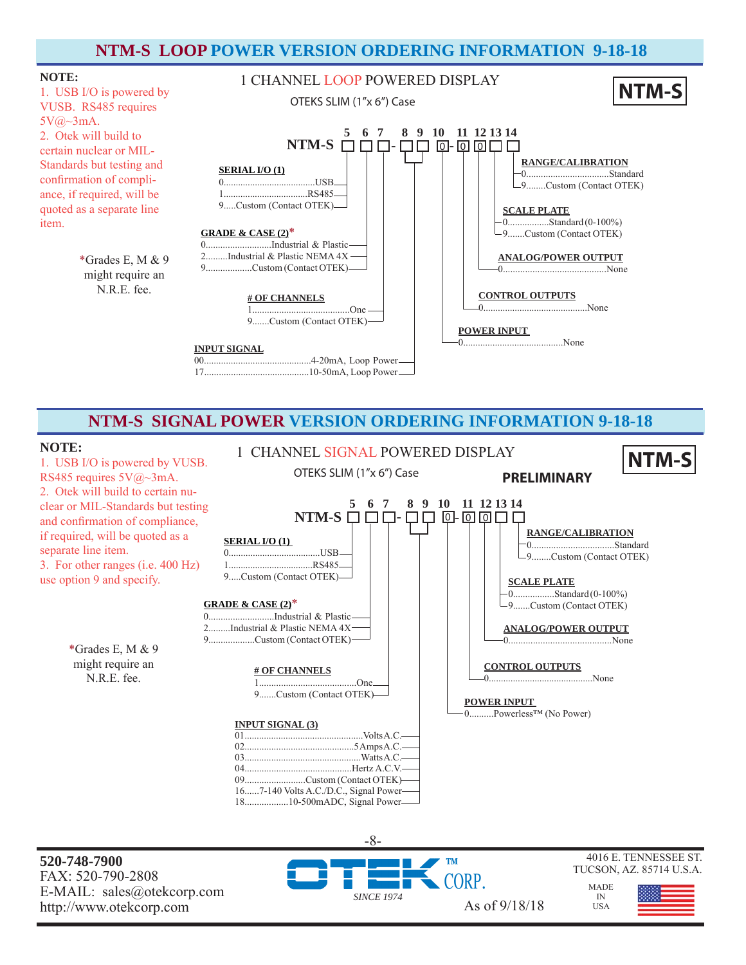#### **NTM-S LOOP POWER VERSION ORDERING INFORMATION 9-18-18**



#### **NTM-S SIGNAL POWER VERSION ORDERING INFORMATION 9-18-18**

#### **NOTE:**

1. USB I/O is powered by VUSB. RS485 requires 5V@~3mA. 2. Otek will build to certain nuclear or MIL-Standards but testing and confirmation of compliance, if required, will be quoted as a separate line item. 3. For other ranges (i.e. 400 Hz) use option 9 and specify.

> \*Grades E, M & 9 might require an N.R.E. fee.



**520-748-7900** FAX: 520-790-2808 E-MAIL: sales@otekcorp.com

-8- ORP. *SINCE 1974* http://www.otekcorp.com As of 9/18/18

#### 4016 E. TENNESSEE ST. TUCSON, AZ. 85714 U.S.A.

IN **USA** 

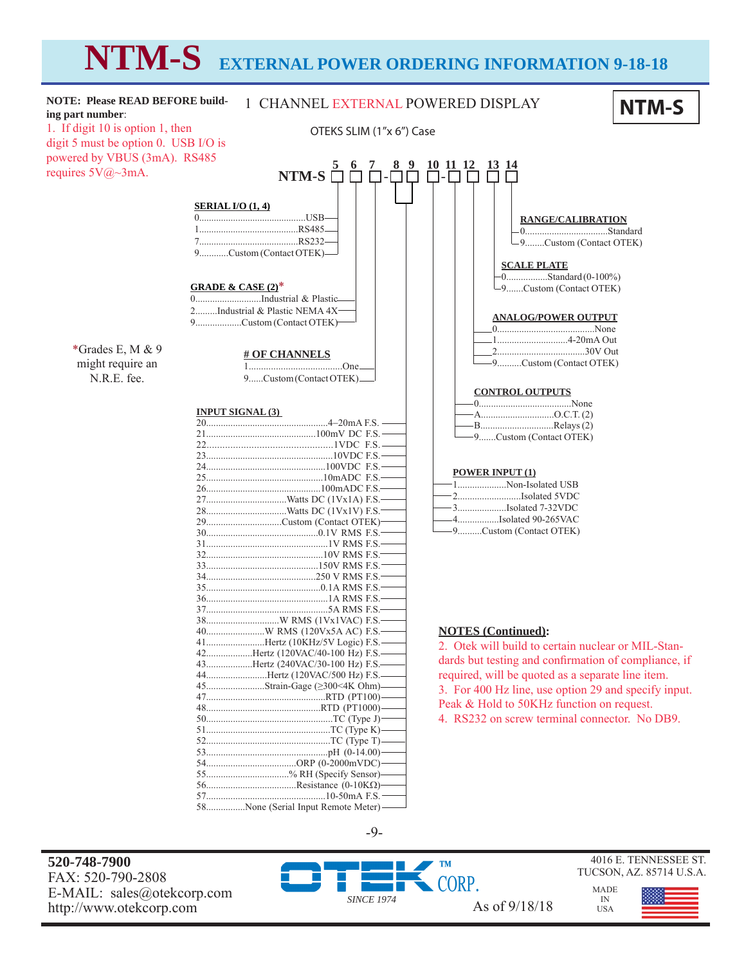# **NTM-S EXTERNAL POWER ORDERING INFORMATION 9-18-18**



**520-748-7900** FAX: 520-790-2808 E-MAIL: sales@otekcorp.com http://www.otekcorp.com As of 9/18/18



4016 E. TENNESSEE ST. TUCSON, AZ. 85714 U.S.A.